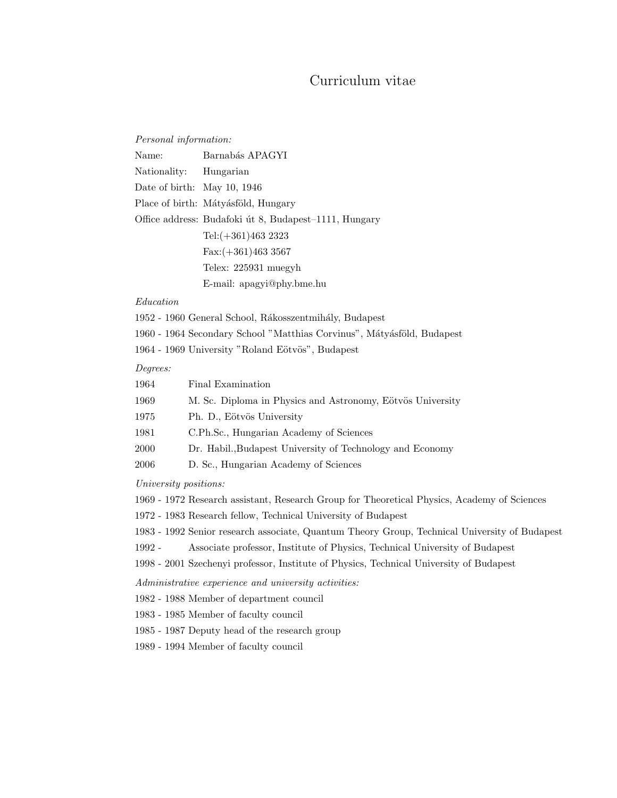# Curriculum vitae

#### Personal information:

| Name:                         | Barnabás APAGYI                                       |
|-------------------------------|-------------------------------------------------------|
| Nationality: Hungarian        |                                                       |
| Date of birth: May 10, $1946$ |                                                       |
|                               | Place of birth: Mátyásföld, Hungary                   |
|                               | Office address: Budafoki út 8, Budapest–1111, Hungary |
|                               | Tel: $(+361)463$ 2323                                 |
|                               | $Fax: (+361)4633567$                                  |
|                               | Telex: 225931 muegyh                                  |
|                               | E-mail: apagyi@phy.bme.hu                             |

#### Education

1952 - 1960 General School, Rákosszentmihály, Budapest

1960 - 1964 Secondary School "Matthias Corvinus", Mátyásföld, Budapest

1964 - 1969 University "Roland Eötvös", Budapest

### Degrees:

| 1964 | Final Examination                                          |
|------|------------------------------------------------------------|
| 1969 | M. Sc. Diploma in Physics and Astronomy, Eötvös University |
| 1975 | Ph. D., Eötvös University                                  |
| 1981 | C.Ph.Sc., Hungarian Academy of Sciences                    |
| 2000 | Dr. Habil., Budapest University of Technology and Economy  |

2006 D. Sc., Hungarian Academy of Sciences

University positions:

1969 - 1972 Research assistant, Research Group for Theoretical Physics, Academy of Sciences

1972 - 1983 Research fellow, Technical University of Budapest

- 1983 1992 Senior research associate, Quantum Theory Group, Technical University of Budapest
- 1992 Associate professor, Institute of Physics, Technical University of Budapest

1998 - 2001 Szechenyi professor, Institute of Physics, Technical University of Budapest

Administrative experience and university activities:

1982 - 1988 Member of department council

1983 - 1985 Member of faculty council

1985 - 1987 Deputy head of the research group

1989 - 1994 Member of faculty council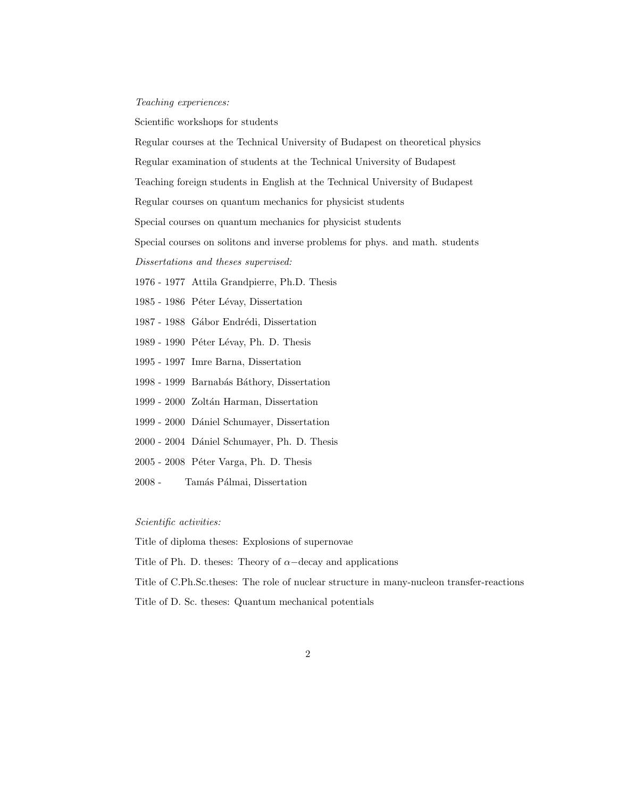#### Teaching experiences:

Scientific workshops for students

Regular courses at the Technical University of Budapest on theoretical physics

Regular examination of students at the Technical University of Budapest

Teaching foreign students in English at the Technical University of Budapest

Regular courses on quantum mechanics for physicist students

Special courses on quantum mechanics for physicist students

Special courses on solitons and inverse problems for phys. and math. students

Dissertations and theses supervised:

1976 - 1977 Attila Grandpierre, Ph.D. Thesis

1985 - 1986 Péter Lévay, Dissertation

1987 - 1988 Gábor Endrédi, Dissertation

- 1989 1990 Péter Lévay, Ph. D. Thesis
- 1995 1997 Imre Barna, Dissertation
- 1998 1999 Barnabás Báthory, Dissertation
- 1999 2000 Zoltán Harman, Dissertation
- 1999 2000 D´aniel Schumayer, Dissertation
- 2000 2004 D´aniel Schumayer, Ph. D. Thesis
- 2005 2008 Péter Varga, Ph. D. Thesis
- 2008 Tamás Pálmai, Dissertation

## Scientific activities:

Title of diploma theses: Explosions of supernovae

Title of Ph. D. theses: Theory of  $\alpha$ -decay and applications

Title of C.Ph.Sc.theses: The role of nuclear structure in many-nucleon transfer-reactions

Title of D. Sc. theses: Quantum mechanical potentials